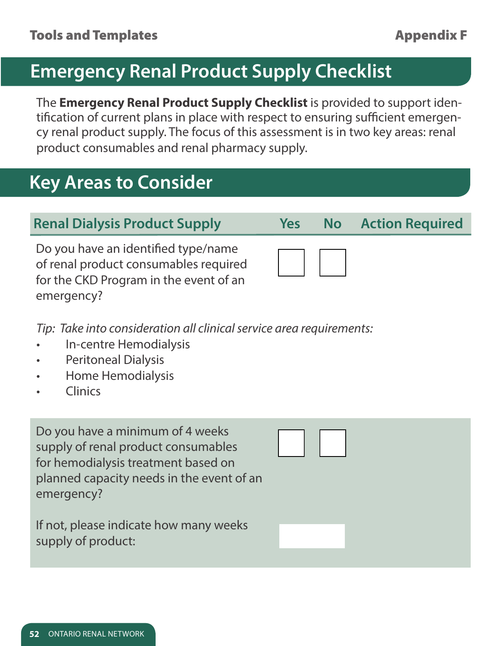## **Emergency Renal Product Supply Checklist**

The **Emergency Renal Product Supply Checklist** is provided to support identification of current plans in place with respect to ensuring sufficient emergency renal product supply. The focus of this assessment is in two key areas: renal product consumables and renal pharmacy supply.

## **Key Areas to Consider**

## **Renal Dialysis Product Supply Yes No Action Required**

Do you have an identified type/name of renal product consumables required for the CKD Program in the event of an emergency?



*Tip: Take into consideration all clinical service area requirements:* 

- In-centre Hemodialysis
- Peritoneal Dialysis
- Home Hemodialysis
- Clinics

Do you have a minimum of 4 weeks supply of renal product consumables for hemodialysis treatment based on planned capacity needs in the event of an emergency?

If not, please indicate how many weeks supply of product:

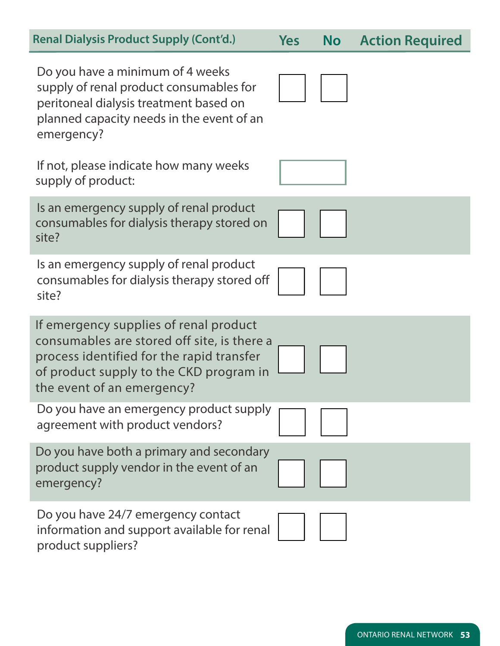## **Renal Dialysis Product Supply (Cont'd.) Yes No Action Required**

Do you have a minimum of 4 weeks supply of renal product consumables for peritoneal dialysis treatment based on planned capacity needs in the event of an emergency?

If not, please indicate how many weeks supply of product:

Is an emergency supply of renal product consumables for dialysis therapy stored on site?

Is an emergency supply of renal product consumables for dialysis therapy stored off site?

If emergency supplies of renal product consumables are stored off site, is there a process identified for the rapid transfer of product supply to the CKD program in the event of an emergency?

Do you have an emergency product supply agreement with product vendors?

Do you have both a primary and secondary product supply vendor in the event of an emergency?

Do you have 24/7 emergency contact information and support available for renal product suppliers?





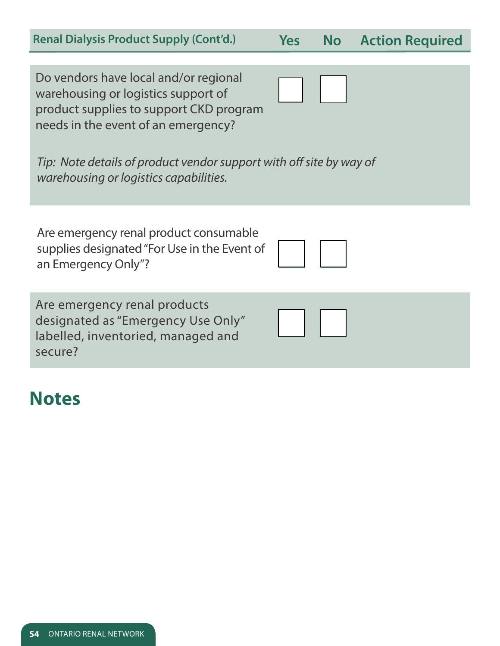| <b>Renal Dialysis Product Supply (Cont'd.)</b>                                                                                                                                                                                                                                  |  | <b>No</b> | <b>Action Required</b> |
|---------------------------------------------------------------------------------------------------------------------------------------------------------------------------------------------------------------------------------------------------------------------------------|--|-----------|------------------------|
| Do vendors have local and/or regional<br>warehousing or logistics support of<br>product supplies to support CKD program<br>needs in the event of an emergency?<br>Tip: Note details of product vendor support with off site by way of<br>warehousing or logistics capabilities. |  |           |                        |
| Are emergency renal product consumable<br>supplies designated "For Use in the Event of<br>an Emergency Only"?                                                                                                                                                                   |  |           |                        |
| Are emergency renal products<br>designated as "Emergency Use Only"<br>labelled, inventoried, managed and<br>secure?                                                                                                                                                             |  |           |                        |
| <b>Notes</b>                                                                                                                                                                                                                                                                    |  |           |                        |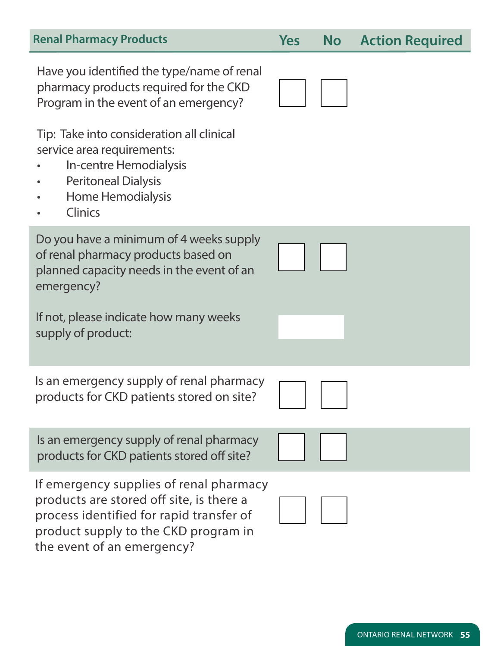Have you identified the type/name of renal pharmacy products required for the CKD

Program in the event of an emergency?

Tip: Take into consideration all clinical service area requirements:

- In-centre Hemodialysis
- Peritoneal Dialysis
- Home Hemodialysis
- Clinics

Do you have a minimum of 4 weeks supply of renal pharmacy products based on planned capacity needs in the event of an emergency?

If not, please indicate how many weeks supply of product:

Is an emergency supply of renal pharmacy products for CKD patients stored on site?

Is an emergency supply of renal pharmacy products for CKD patients stored off site?

If emergency supplies of renal pharmacy products are stored off site, is there a process identified for rapid transfer of product supply to the CKD program in the event of an emergency?

**Renal Pharmacy Products Yes No Action Required**